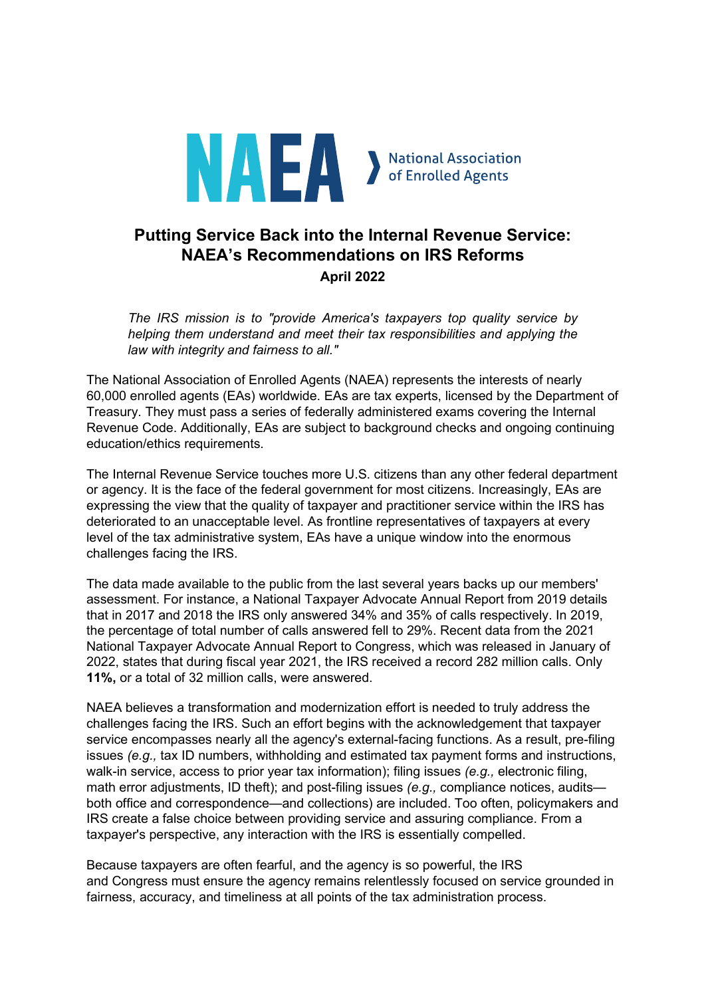

# **Putting Service Back into the Internal Revenue Service: NAEA's Recommendations on IRS Reforms April 2022**

*The IRS mission is to "provide America's taxpayers top quality service by helping them understand and meet their tax responsibilities and applying the law with integrity and fairness to all."*

The National Association of Enrolled Agents (NAEA) represents the interests of nearly 60,000 enrolled agents (EAs) worldwide. EAs are tax experts, licensed by the Department of Treasury. They must pass a series of federally administered exams covering the Internal Revenue Code. Additionally, EAs are subject to background checks and ongoing continuing education/ethics requirements.

The Internal Revenue Service touches more U.S. citizens than any other federal department or agency. It is the face of the federal government for most citizens. Increasingly, EAs are expressing the view that the quality of taxpayer and practitioner service within the IRS has deteriorated to an unacceptable level. As frontline representatives of taxpayers at every level of the tax administrative system, EAs have a unique window into the enormous challenges facing the IRS.

The data made available to the public from the last several years backs up our members' assessment. For instance, a National Taxpayer Advocate Annual Report from 2019 details that in 2017 and 2018 the IRS only answered 34% and 35% of calls respectively. In 2019, the percentage of total number of calls answered fell to 29%. Recent data from the 2021 National Taxpayer Advocate Annual Report to Congress, which was released in January of 2022, states that during fiscal year 2021, the IRS received a record 282 million calls. Only **11%,** or a total of 32 million calls, were answered.

NAEA believes a transformation and modernization effort is needed to truly address the challenges facing the IRS. Such an effort begins with the acknowledgement that taxpayer service encompasses nearly all the agency's external-facing functions. As a result, pre-filing issues *(e.g.,* tax ID numbers, withholding and estimated tax payment forms and instructions, walk-in service, access to prior year tax information); filing issues *(e.g.,* electronic filing, math error adjustments, ID theft); and post-filing issues *(e.g.,* compliance notices, audits both office and correspondence—and collections) are included. Too often, policymakers and IRS create a false choice between providing service and assuring compliance. From a taxpayer's perspective, any interaction with the IRS is essentially compelled.

Because taxpayers are often fearful, and the agency is so powerful, the IRS and Congress must ensure the agency remains relentlessly focused on service grounded in fairness, accuracy, and timeliness at all points of the tax administration process.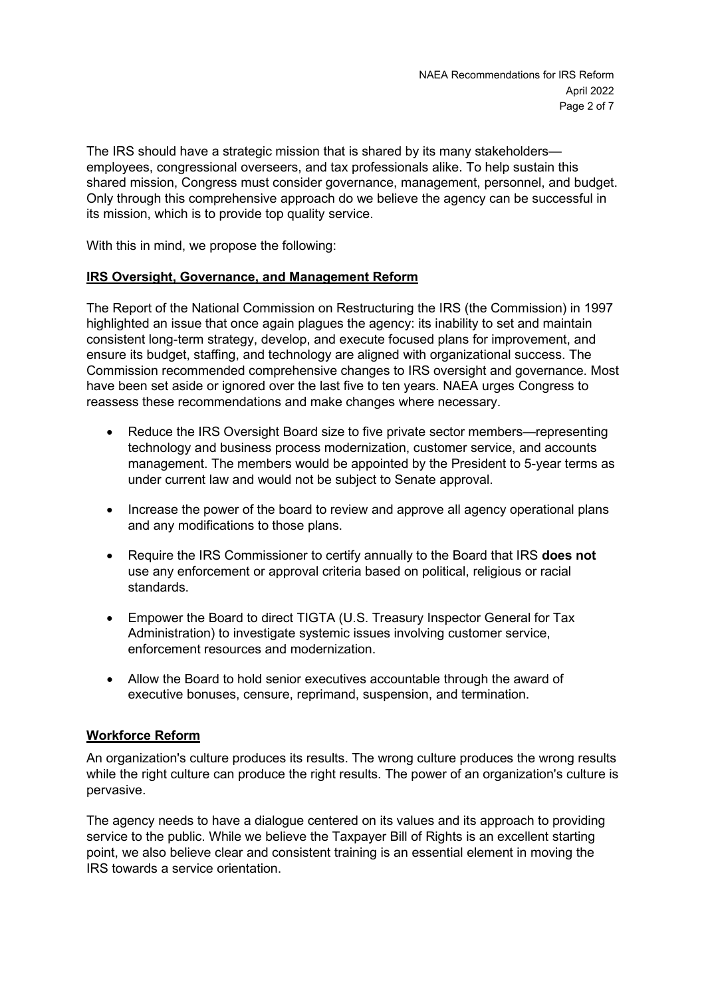The IRS should have a strategic mission that is shared by its many stakeholders employees, congressional overseers, and tax professionals alike. To help sustain this shared mission, Congress must consider governance, management, personnel, and budget. Only through this comprehensive approach do we believe the agency can be successful in its mission, which is to provide top quality service.

With this in mind, we propose the following:

## **IRS Oversight, Governance, and Management Reform**

The Report of the National Commission on Restructuring the IRS (the Commission) in 1997 highlighted an issue that once again plagues the agency: its inability to set and maintain consistent long-term strategy, develop, and execute focused plans for improvement, and ensure its budget, staffing, and technology are aligned with organizational success. The Commission recommended comprehensive changes to IRS oversight and governance. Most have been set aside or ignored over the last five to ten years. NAEA urges Congress to reassess these recommendations and make changes where necessary.

- Reduce the IRS Oversight Board size to five private sector members—representing technology and business process modernization, customer service, and accounts management. The members would be appointed by the President to 5-year terms as under current law and would not be subject to Senate approval.
- Increase the power of the board to review and approve all agency operational plans and any modifications to those plans.
- Require the IRS Commissioner to certify annually to the Board that IRS **does not** use any enforcement or approval criteria based on political, religious or racial standards.
- Empower the Board to direct TIGTA (U.S. Treasury Inspector General for Tax Administration) to investigate systemic issues involving customer service, enforcement resources and modernization.
- Allow the Board to hold senior executives accountable through the award of executive bonuses, censure, reprimand, suspension, and termination.

## **Workforce Reform**

An organization's culture produces its results. The wrong culture produces the wrong results while the right culture can produce the right results. The power of an organization's culture is pervasive.

The agency needs to have a dialogue centered on its values and its approach to providing service to the public. While we believe the Taxpayer Bill of Rights is an excellent starting point, we also believe clear and consistent training is an essential element in moving the IRS towards a service orientation.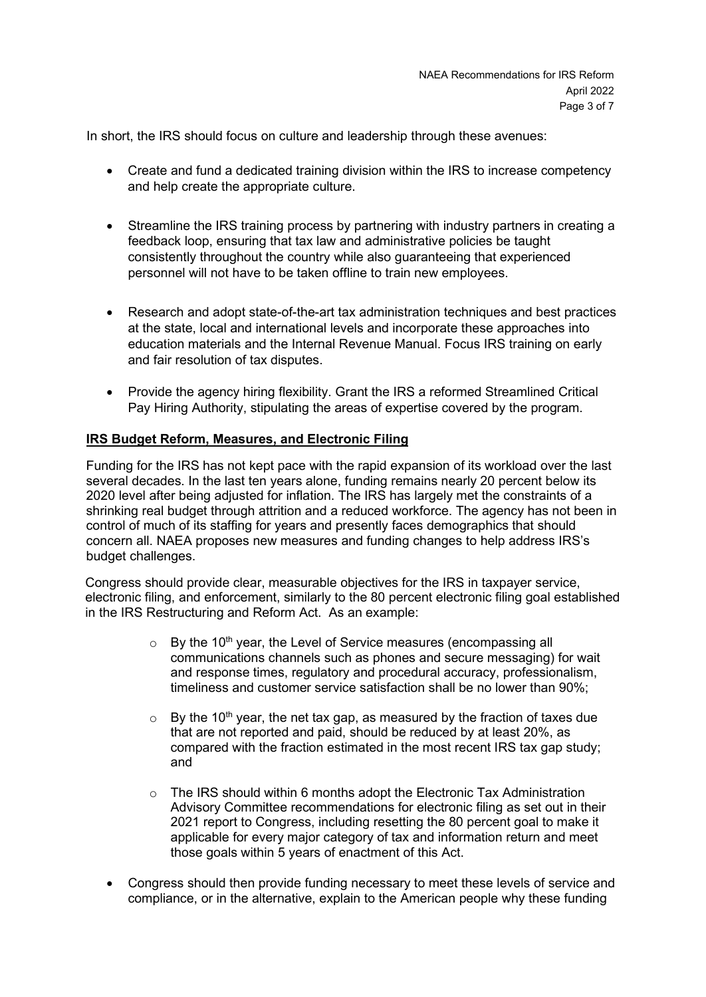In short, the IRS should focus on culture and leadership through these avenues:

- Create and fund a dedicated training division within the IRS to increase competency and help create the appropriate culture.
- Streamline the IRS training process by partnering with industry partners in creating a feedback loop, ensuring that tax law and administrative policies be taught consistently throughout the country while also guaranteeing that experienced personnel will not have to be taken offline to train new employees.
- Research and adopt state-of-the-art tax administration techniques and best practices at the state, local and international levels and incorporate these approaches into education materials and the Internal Revenue Manual. Focus IRS training on early and fair resolution of tax disputes.
- Provide the agency hiring flexibility. Grant the IRS a reformed Streamlined Critical Pay Hiring Authority, stipulating the areas of expertise covered by the program.

## **IRS Budget Reform, Measures, and Electronic Filing**

Funding for the IRS has not kept pace with the rapid expansion of its workload over the last several decades. In the last ten years alone, funding remains nearly 20 percent below its 2020 level after being adjusted for inflation. The IRS has largely met the constraints of a shrinking real budget through attrition and a reduced workforce. The agency has not been in control of much of its staffing for years and presently faces demographics that should concern all. NAEA proposes new measures and funding changes to help address IRS's budget challenges.

Congress should provide clear, measurable objectives for the IRS in taxpayer service, electronic filing, and enforcement, similarly to the 80 percent electronic filing goal established in the IRS Restructuring and Reform Act. As an example:

- $\circ$  By the 10<sup>th</sup> year, the Level of Service measures (encompassing all communications channels such as phones and secure messaging) for wait and response times, regulatory and procedural accuracy, professionalism, timeliness and customer service satisfaction shall be no lower than 90%;
- $\circ$  By the 10<sup>th</sup> year, the net tax gap, as measured by the fraction of taxes due that are not reported and paid, should be reduced by at least 20%, as compared with the fraction estimated in the most recent IRS tax gap study; and
- o The IRS should within 6 months adopt the Electronic Tax Administration Advisory Committee recommendations for electronic filing as set out in their 2021 report to Congress, including resetting the 80 percent goal to make it applicable for every major category of tax and information return and meet those goals within 5 years of enactment of this Act.
- Congress should then provide funding necessary to meet these levels of service and compliance, or in the alternative, explain to the American people why these funding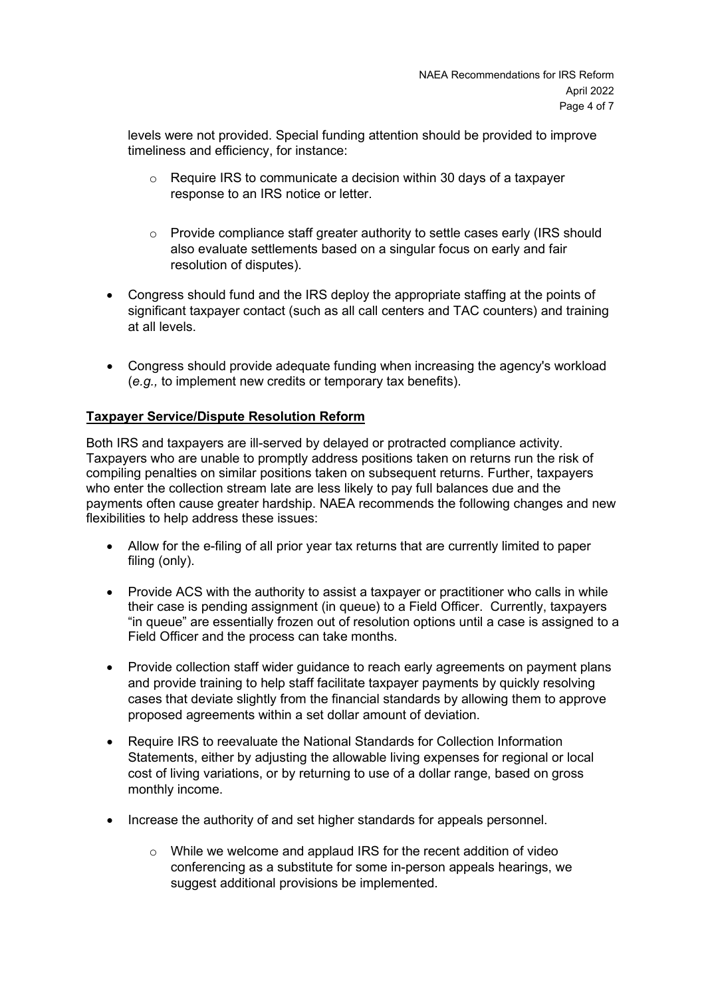levels were not provided. Special funding attention should be provided to improve timeliness and efficiency, for instance:

- $\circ$  Require IRS to communicate a decision within 30 days of a taxpayer response to an IRS notice or letter.
- $\circ$  Provide compliance staff greater authority to settle cases early (IRS should also evaluate settlements based on a singular focus on early and fair resolution of disputes).
- Congress should fund and the IRS deploy the appropriate staffing at the points of significant taxpayer contact (such as all call centers and TAC counters) and training at all levels.
- Congress should provide adequate funding when increasing the agency's workload (*e.g.,* to implement new credits or temporary tax benefits).

## **Taxpayer Service/Dispute Resolution Reform**

Both IRS and taxpayers are ill-served by delayed or protracted compliance activity. Taxpayers who are unable to promptly address positions taken on returns run the risk of compiling penalties on similar positions taken on subsequent returns. Further, taxpayers who enter the collection stream late are less likely to pay full balances due and the payments often cause greater hardship. NAEA recommends the following changes and new flexibilities to help address these issues:

- Allow for the e-filing of all prior year tax returns that are currently limited to paper filing (only).
- Provide ACS with the authority to assist a taxpayer or practitioner who calls in while their case is pending assignment (in queue) to a Field Officer. Currently, taxpayers "in queue" are essentially frozen out of resolution options until a case is assigned to a Field Officer and the process can take months.
- Provide collection staff wider guidance to reach early agreements on payment plans and provide training to help staff facilitate taxpayer payments by quickly resolving cases that deviate slightly from the financial standards by allowing them to approve proposed agreements within a set dollar amount of deviation.
- Require IRS to reevaluate the National Standards for Collection Information Statements, either by adjusting the allowable living expenses for regional or local cost of living variations, or by returning to use of a dollar range, based on gross monthly income.
- Increase the authority of and set higher standards for appeals personnel.
	- o While we welcome and applaud IRS for the recent addition of video conferencing as a substitute for some in-person appeals hearings, we suggest additional provisions be implemented.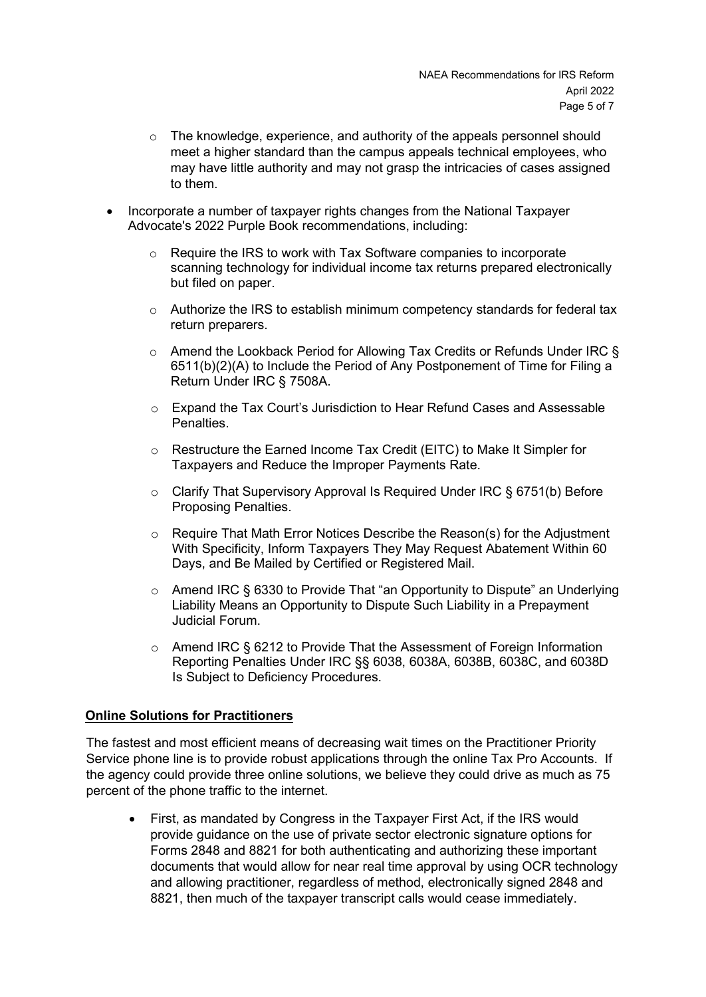- $\circ$  The knowledge, experience, and authority of the appeals personnel should meet a higher standard than the campus appeals technical employees, who may have little authority and may not grasp the intricacies of cases assigned to them.
- Incorporate a number of taxpayer rights changes from the National Taxpayer Advocate's 2022 Purple Book recommendations, including:
	- o Require the IRS to work with Tax Software companies to incorporate scanning technology for individual income tax returns prepared electronically but filed on paper.
	- $\circ$  Authorize the IRS to establish minimum competency standards for federal tax return preparers.
	- $\circ$  Amend the Lookback Period for Allowing Tax Credits or Refunds Under IRC § 6511(b)(2)(A) to Include the Period of Any Postponement of Time for Filing a Return Under IRC § 7508A.
	- o Expand the Tax Court's Jurisdiction to Hear Refund Cases and Assessable Penalties.
	- o Restructure the Earned Income Tax Credit (EITC) to Make It Simpler for Taxpayers and Reduce the Improper Payments Rate.
	- $\circ$  Clarify That Supervisory Approval Is Required Under IRC § 6751(b) Before Proposing Penalties.
	- $\circ$  Require That Math Error Notices Describe the Reason(s) for the Adjustment With Specificity, Inform Taxpayers They May Request Abatement Within 60 Days, and Be Mailed by Certified or Registered Mail.
	- o Amend IRC § 6330 to Provide That "an Opportunity to Dispute" an Underlying Liability Means an Opportunity to Dispute Such Liability in a Prepayment Judicial Forum.
	- $\circ$  Amend IRC § 6212 to Provide That the Assessment of Foreign Information Reporting Penalties Under IRC §§ 6038, 6038A, 6038B, 6038C, and 6038D Is Subject to Deficiency Procedures.

## **Online Solutions for Practitioners**

The fastest and most efficient means of decreasing wait times on the Practitioner Priority Service phone line is to provide robust applications through the online Tax Pro Accounts. If the agency could provide three online solutions, we believe they could drive as much as 75 percent of the phone traffic to the internet.

• First, as mandated by Congress in the Taxpayer First Act, if the IRS would provide guidance on the use of private sector electronic signature options for Forms 2848 and 8821 for both authenticating and authorizing these important documents that would allow for near real time approval by using OCR technology and allowing practitioner, regardless of method, electronically signed 2848 and 8821, then much of the taxpayer transcript calls would cease immediately.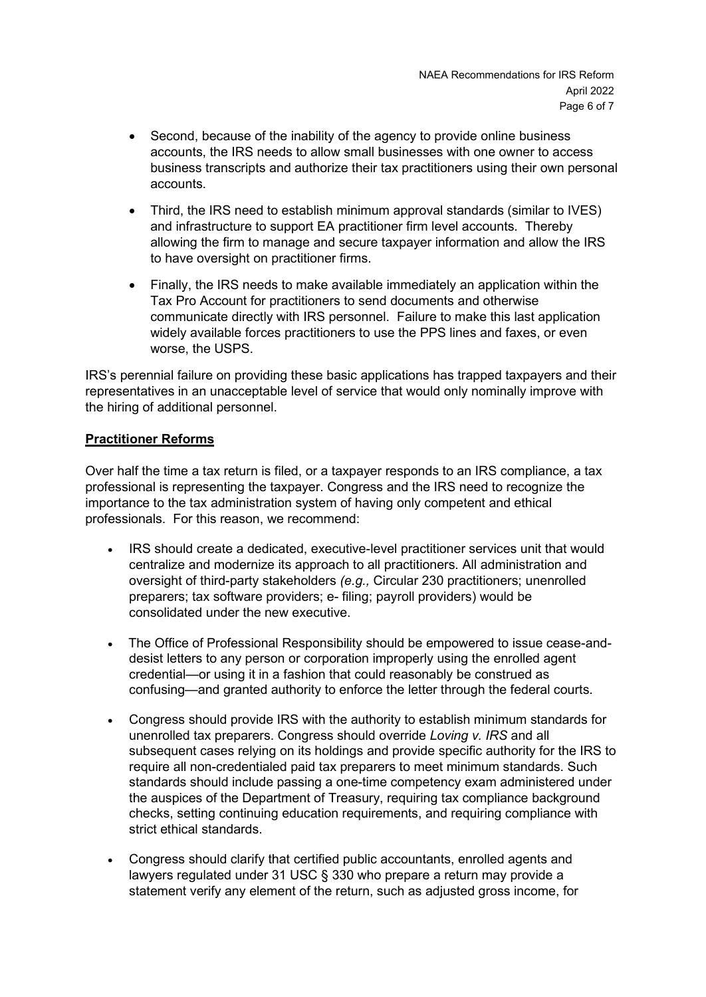- Second, because of the inability of the agency to provide online business accounts, the IRS needs to allow small businesses with one owner to access business transcripts and authorize their tax practitioners using their own personal accounts.
- Third, the IRS need to establish minimum approval standards (similar to IVES) and infrastructure to support EA practitioner firm level accounts. Thereby allowing the firm to manage and secure taxpayer information and allow the IRS to have oversight on practitioner firms.
- Finally, the IRS needs to make available immediately an application within the Tax Pro Account for practitioners to send documents and otherwise communicate directly with IRS personnel. Failure to make this last application widely available forces practitioners to use the PPS lines and faxes, or even worse, the USPS.

IRS's perennial failure on providing these basic applications has trapped taxpayers and their representatives in an unacceptable level of service that would only nominally improve with the hiring of additional personnel.

## **Practitioner Reforms**

Over half the time a tax return is filed, or a taxpayer responds to an IRS compliance, a tax professional is representing the taxpayer. Congress and the IRS need to recognize the importance to the tax administration system of having only competent and ethical professionals. For this reason, we recommend:

- IRS should create a dedicated, executive-level practitioner services unit that would centralize and modernize its approach to all practitioners. All administration and oversight of third-party stakeholders *(e.g.,* Circular 230 practitioners; unenrolled preparers; tax software providers; e- filing; payroll providers) would be consolidated under the new executive.
- The Office of Professional Responsibility should be empowered to issue cease-anddesist letters to any person or corporation improperly using the enrolled agent credential—or using it in a fashion that could reasonably be construed as confusing—and granted authority to enforce the letter through the federal courts.
- Congress should provide IRS with the authority to establish minimum standards for unenrolled tax preparers. Congress should override *Loving v. IRS* and all subsequent cases relying on its holdings and provide specific authority for the IRS to require all non-credentialed paid tax preparers to meet minimum standards. Such standards should include passing a one-time competency exam administered under the auspices of the Department of Treasury, requiring tax compliance background checks, setting continuing education requirements, and requiring compliance with strict ethical standards.
- Congress should clarify that certified public accountants, enrolled agents and lawyers regulated under 31 USC § 330 who prepare a return may provide a statement verify any element of the return, such as adjusted gross income, for